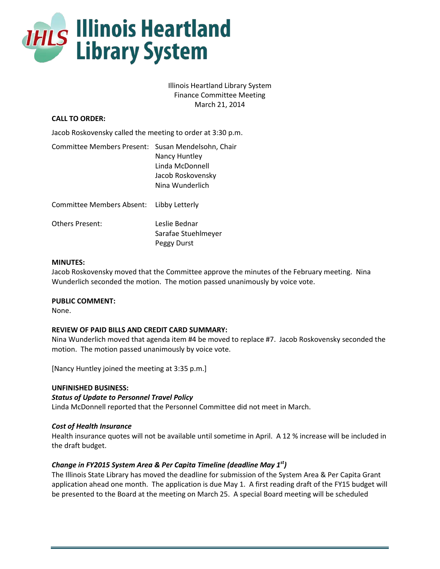

Illinois Heartland Library System Finance Committee Meeting March 21, 2014

# **CALL TO ORDER:**

Jacob Roskovensky called the meeting to order at 3:30 p.m.

| Committee Members Present: Susan Mendelsohn, Chair | Nancy Huntley<br>Linda McDonnell<br>Jacob Roskovensky<br>Nina Wunderlich |
|----------------------------------------------------|--------------------------------------------------------------------------|
| <b>Committee Members Absent:</b>                   | Libby Letterly                                                           |
| Others Present:                                    | Leslie Bednar<br>Sarafae Stuehlmeyer<br>Peggy Durst                      |

### **MINUTES:**

Jacob Roskovensky moved that the Committee approve the minutes of the February meeting. Nina Wunderlich seconded the motion. The motion passed unanimously by voice vote.

# **PUBLIC COMMENT:**

None.

# **REVIEW OF PAID BILLS AND CREDIT CARD SUMMARY:**

Nina Wunderlich moved that agenda item #4 be moved to replace #7. Jacob Roskovensky seconded the motion. The motion passed unanimously by voice vote.

[Nancy Huntley joined the meeting at 3:35 p.m.]

#### **UNFINISHED BUSINESS:**

# *Status of Update to Personnel Travel Policy*

Linda McDonnell reported that the Personnel Committee did not meet in March.

# *Cost of Health Insurance*

Health insurance quotes will not be available until sometime in April. A 12 % increase will be included in the draft budget.

# *Change in FY2015 System Area & Per Capita Timeline (deadline May 1st)*

The Illinois State Library has moved the deadline for submission of the System Area & Per Capita Grant application ahead one month. The application is due May 1. A first reading draft of the FY15 budget will be presented to the Board at the meeting on March 25. A special Board meeting will be scheduled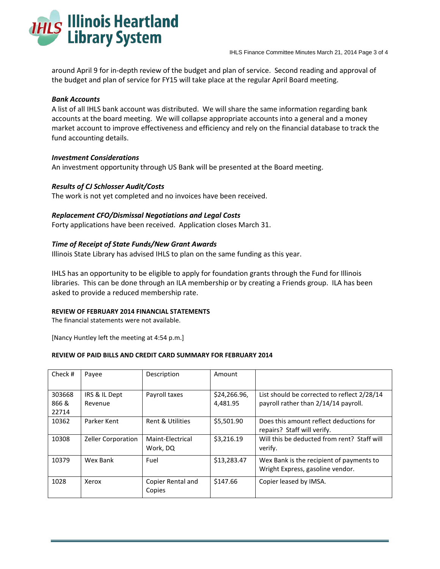

around April 9 for in-depth review of the budget and plan of service. Second reading and approval of the budget and plan of service for FY15 will take place at the regular April Board meeting.

# *Bank Accounts*

A list of all IHLS bank account was distributed. We will share the same information regarding bank accounts at the board meeting. We will collapse appropriate accounts into a general and a money market account to improve effectiveness and efficiency and rely on the financial database to track the fund accounting details.

### *Investment Considerations*

An investment opportunity through US Bank will be presented at the Board meeting.

### *Results of CJ Schlosser Audit/Costs*

The work is not yet completed and no invoices have been received.

### *Replacement CFO/Dismissal Negotiations and Legal Costs*

Forty applications have been received. Application closes March 31.

### *Time of Receipt of State Funds/New Grant Awards*

Illinois State Library has advised IHLS to plan on the same funding as this year.

IHLS has an opportunity to be eligible to apply for foundation grants through the Fund for Illinois libraries. This can be done through an ILA membership or by creating a Friends group. ILA has been asked to provide a reduced membership rate.

#### **REVIEW OF FEBRUARY 2014 FINANCIAL STATEMENTS**

The financial statements were not available.

[Nancy Huntley left the meeting at 4:54 p.m.]

#### **REVIEW OF PAID BILLS AND CREDIT CARD SUMMARY FOR FEBRUARY 2014**

| Check #        | Payee                     | Description                  | Amount                   |                                                                                     |
|----------------|---------------------------|------------------------------|--------------------------|-------------------------------------------------------------------------------------|
| 303668<br>866& | IRS & IL Dept<br>Revenue  | Payroll taxes                | \$24,266.96,<br>4.481.95 | List should be corrected to reflect 2/28/14<br>payroll rather than 2/14/14 payroll. |
| 22714          |                           |                              |                          |                                                                                     |
| 10362          | Parker Kent               | Rent & Utilities             | \$5,501.90               | Does this amount reflect deductions for<br>repairs? Staff will verify.              |
| 10308          | <b>Zeller Corporation</b> | Maint-Electrical<br>Work, DQ | \$3,216.19               | Will this be deducted from rent? Staff will<br>verify.                              |
| 10379          | Wex Bank                  | Fuel                         | \$13,283.47              | Wex Bank is the recipient of payments to<br>Wright Express, gasoline vendor.        |
| 1028           | Xerox                     | Copier Rental and<br>Copies  | \$147.66                 | Copier leased by IMSA.                                                              |